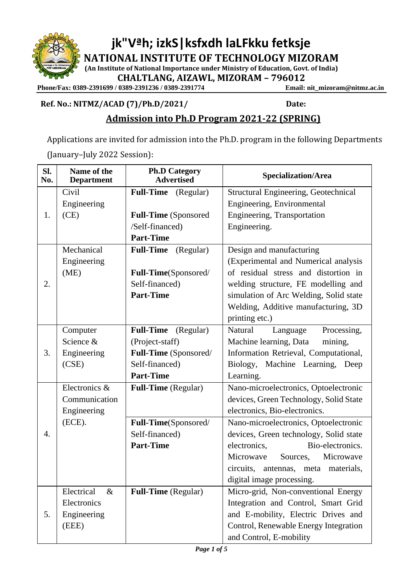**jk"Vªh; izkS|ksfxdh laLFkku fetksje NATIONAL INSTITUTE OF TECHNOLOGY MIZORAM**

**(An Institute of National Importance under Ministry of Education, Govt. of India)**

**CHALTLANG, AIZAWL, MIZORAM – 796012**

Phone/Fax: 0389-2391699 / 0389-2391236 / 0389-2391774

**Ref. No.: NITMZ/ACAD (7)/Ph.D/2021/ Date:** 

# **Admission into Ph.D Program 2021-22 (SPRING)**

Applications are invited for admission into the Ph.D. program in the following Departments (January–July 2022 Session):

| Sl.<br>No. | Name of the<br><b>Department</b> | <b>Ph.D Category</b><br><b>Advertised</b> | <b>Specialization/Area</b>                  |
|------------|----------------------------------|-------------------------------------------|---------------------------------------------|
| 1.         | Civil                            | <b>Full-Time</b><br>(Regular)             | <b>Structural Engineering, Geotechnical</b> |
|            | Engineering                      |                                           | Engineering, Environmental                  |
|            | (CE)                             | <b>Full-Time</b> (Sponsored               | Engineering, Transportation                 |
|            |                                  | /Self-financed)                           | Engineering.                                |
|            |                                  | <b>Part-Time</b>                          |                                             |
| 2.         | Mechanical                       | <b>Full-Time</b><br>(Regular)             | Design and manufacturing                    |
|            | Engineering                      |                                           | (Experimental and Numerical analysis        |
|            | (ME)                             | Full-Time(Sponsored/                      | of residual stress and distortion in        |
|            |                                  | Self-financed)                            | welding structure, FE modelling and         |
|            |                                  | <b>Part-Time</b>                          | simulation of Arc Welding, Solid state      |
|            |                                  |                                           | Welding, Additive manufacturing, 3D         |
|            |                                  |                                           | printing etc.)                              |
|            | Computer                         | Full-Time (Regular)                       | Natural<br>Language<br>Processing,          |
|            | Science &                        | (Project-staff)                           | Machine learning, Data<br>mining,           |
| 3.         | Engineering                      | Full-Time (Sponsored/                     | Information Retrieval, Computational,       |
|            | (CSE)                            | Self-financed)                            | Machine Learning,<br>Biology,<br>Deep       |
|            |                                  | <b>Part-Time</b>                          | Learning.                                   |
|            | Electronics &                    | Full-Time (Regular)                       | Nano-microelectronics, Optoelectronic       |
|            | Communication                    |                                           | devices, Green Technology, Solid State      |
|            | Engineering                      |                                           | electronics, Bio-electronics.               |
|            | (ECE).                           | Full-Time(Sponsored/                      | Nano-microelectronics, Optoelectronic       |
| 4.         |                                  | Self-financed)                            | devices, Green technology, Solid state      |
|            |                                  | <b>Part-Time</b>                          | electronics,<br>Bio-electronics.            |
|            |                                  |                                           | Microwave<br>Sources,<br>Microwave          |
|            |                                  |                                           | circuits,<br>antennas, meta materials,      |
|            |                                  |                                           | digital image processing.                   |
| 5.         | Electrical<br>$\&$               | <b>Full-Time</b> (Regular)                | Micro-grid, Non-conventional Energy         |
|            | Electronics                      |                                           | Integration and Control, Smart Grid         |
|            | Engineering                      |                                           | and E-mobility, Electric Drives and         |
|            | (EEE)                            |                                           | Control, Renewable Energy Integration       |
|            |                                  |                                           | and Control, E-mobility                     |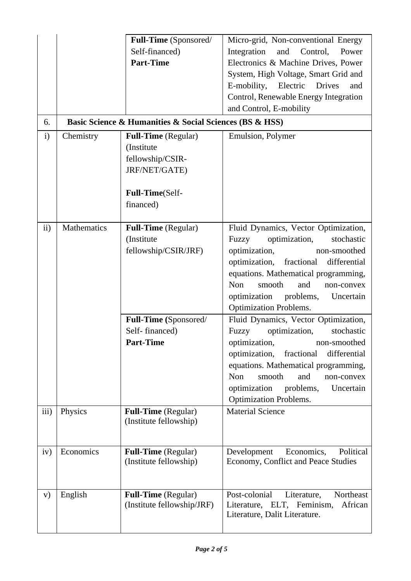| 6.           |             | Full-Time (Sponsored/<br>Self-financed)<br><b>Part-Time</b><br>Basic Science & Humanities & Social Sciences (BS & HSS) | Micro-grid, Non-conventional Energy<br>Integration<br>and Control,<br>Power<br>Electronics & Machine Drives, Power<br>System, High Voltage, Smart Grid and<br>E-mobility, Electric Drives<br>and<br>Control, Renewable Energy Integration<br>and Control, E-mobility |
|--------------|-------------|------------------------------------------------------------------------------------------------------------------------|----------------------------------------------------------------------------------------------------------------------------------------------------------------------------------------------------------------------------------------------------------------------|
| $\mathbf{i}$ | Chemistry   | <b>Full-Time</b> (Regular)                                                                                             | Emulsion, Polymer                                                                                                                                                                                                                                                    |
|              |             | (Institute<br>fellowship/CSIR-<br>JRF/NET/GATE)                                                                        |                                                                                                                                                                                                                                                                      |
|              |             | Full-Time(Self-                                                                                                        |                                                                                                                                                                                                                                                                      |
|              |             | financed)                                                                                                              |                                                                                                                                                                                                                                                                      |
|              |             |                                                                                                                        |                                                                                                                                                                                                                                                                      |
| ii)          | Mathematics | <b>Full-Time</b> (Regular)                                                                                             | Fluid Dynamics, Vector Optimization,                                                                                                                                                                                                                                 |
|              |             | (Institute                                                                                                             | Fuzzy<br>optimization,<br>stochastic                                                                                                                                                                                                                                 |
|              |             | fellowship/CSIR/JRF)                                                                                                   | optimization,<br>non-smoothed                                                                                                                                                                                                                                        |
|              |             |                                                                                                                        | optimization, fractional<br>differential                                                                                                                                                                                                                             |
|              |             |                                                                                                                        | equations. Mathematical programming,                                                                                                                                                                                                                                 |
|              |             |                                                                                                                        | Non<br>and<br>smooth<br>non-convex                                                                                                                                                                                                                                   |
|              |             |                                                                                                                        | optimization problems,<br>Uncertain                                                                                                                                                                                                                                  |
|              |             |                                                                                                                        | <b>Optimization Problems.</b>                                                                                                                                                                                                                                        |
|              |             | Full-Time (Sponsored/                                                                                                  | Fluid Dynamics, Vector Optimization,                                                                                                                                                                                                                                 |
|              |             | Self-financed)                                                                                                         | Fuzzy<br>stochastic<br>optimization,                                                                                                                                                                                                                                 |
|              |             | <b>Part-Time</b>                                                                                                       | optimization, non-smoothed<br>optimization,<br>fractional<br>differential                                                                                                                                                                                            |
|              |             |                                                                                                                        | equations. Mathematical programming,                                                                                                                                                                                                                                 |
|              |             |                                                                                                                        | Non<br>and<br>smooth<br>non-convex                                                                                                                                                                                                                                   |
|              |             |                                                                                                                        | optimization<br>problems,<br>Uncertain                                                                                                                                                                                                                               |
|              |             |                                                                                                                        | <b>Optimization Problems.</b>                                                                                                                                                                                                                                        |
| iii)         | Physics     | <b>Full-Time</b> (Regular)                                                                                             | <b>Material Science</b>                                                                                                                                                                                                                                              |
|              |             | (Institute fellowship)                                                                                                 |                                                                                                                                                                                                                                                                      |
|              |             |                                                                                                                        |                                                                                                                                                                                                                                                                      |
| iv)          | Economics   | <b>Full-Time</b> (Regular)                                                                                             | Development<br>Economics,<br>Political                                                                                                                                                                                                                               |
|              |             | (Institute fellowship)                                                                                                 | Economy, Conflict and Peace Studies                                                                                                                                                                                                                                  |
|              |             |                                                                                                                        |                                                                                                                                                                                                                                                                      |
|              |             |                                                                                                                        |                                                                                                                                                                                                                                                                      |
| V)           | English     | Full-Time (Regular)                                                                                                    | Post-colonial<br>Northeast<br>Literature,<br>African                                                                                                                                                                                                                 |
|              |             | (Institute fellowship/JRF)                                                                                             | Literature, ELT, Feminism,<br>Literature, Dalit Literature.                                                                                                                                                                                                          |
|              |             |                                                                                                                        |                                                                                                                                                                                                                                                                      |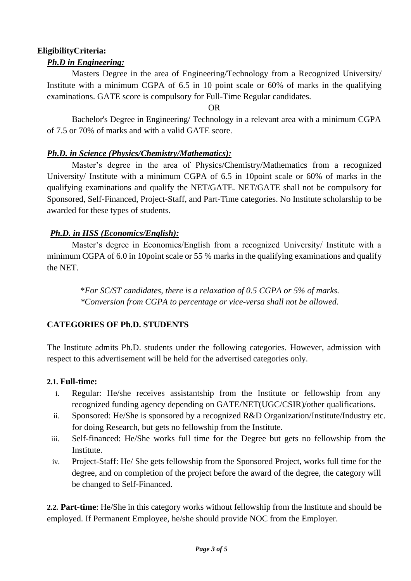### **EligibilityCriteria:**

# *Ph.D in Engineering:*

Masters Degree in the area of Engineering/Technology from a Recognized University/ Institute with a minimum CGPA of 6.5 in 10 point scale or 60% of marks in the qualifying examinations. GATE score is compulsory for Full-Time Regular candidates.

#### OR

Bachelor's Degree in Engineering/ Technology in a relevant area with a minimum CGPA of 7.5 or 70% of marks and with a valid GATE score.

## *Ph.D. in Science (Physics/Chemistry/Mathematics):*

Master's degree in the area of Physics/Chemistry/Mathematics from a recognized University/ Institute with a minimum CGPA of 6.5 in 10point scale or 60% of marks in the qualifying examinations and qualify the NET/GATE. NET/GATE shall not be compulsory for Sponsored, Self-Financed, Project-Staff, and Part-Time categories. No Institute scholarship to be awarded for these types of students.

## *Ph.D. in HSS (Economics/English):*

Master's degree in Economics/English from a recognized University/ Institute with a minimum CGPA of 6.0 in 10point scale or 55 % marks in the qualifying examinations and qualify the NET.

> \**For SC/ST candidates, there is a relaxation of 0.5 CGPA or 5% of marks. \*Conversion from CGPA to percentage or vice-versa shall not be allowed.*

# **CATEGORIES OF Ph.D. STUDENTS**

The Institute admits Ph.D. students under the following categories. However, admission with respect to this advertisement will be held for the advertised categories only.

### **2.1. Full-time:**

- i. Regular: He/she receives assistantship from the Institute or fellowship from any recognized funding agency depending on GATE/NET(UGC/CSIR)/other qualifications.
- ii. Sponsored: He/She is sponsored by a recognized R&D Organization/Institute/Industry etc. for doing Research, but gets no fellowship from the Institute.
- iii. Self-financed: He/She works full time for the Degree but gets no fellowship from the Institute.
- iv. Project-Staff: He/ She gets fellowship from the Sponsored Project, works full time for the degree, and on completion of the project before the award of the degree, the category will be changed to Self-Financed.

**2.2. Part-time**: He/She in this category works without fellowship from the Institute and should be employed. If Permanent Employee, he/she should provide NOC from the Employer.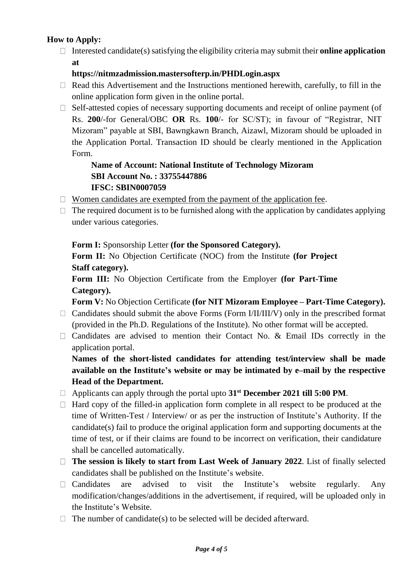# **How to Apply:**

Interested candidate(s) satisfying the eligibility criteria may submit their **online application at**

### **https://nitmzadmission.mastersofterp.in/PHDLogin.aspx**

- $\Box$  Read this Advertisement and the Instructions mentioned herewith, carefully, to fill in the online application form given in the online portal.
- $\Box$  Self-attested copies of necessary supporting documents and receipt of online payment (of Rs. **200**/-for General/OBC **OR** Rs. **100**/- for SC/ST); in favour of "Registrar, NIT Mizoram" payable at SBI, Bawngkawn Branch, Aizawl, Mizoram should be uploaded in the Application Portal. Transaction ID should be clearly mentioned in the Application Form.

## **Name of Account: National Institute of Technology Mizoram SBI Account No. : 33755447886 IFSC: SBIN0007059**

- $\Box$  Women candidates are exempted from the payment of the application fee.
- $\Box$  The required document is to be furnished along with the application by candidates applying under various categories.

## **Form I:** Sponsorship Letter **(for the Sponsored Category).**

**Form II:** No Objection Certificate (NOC) from the Institute **(for Project Staff category).**

**Form III:** No Objection Certificate from the Employer **(for Part-Time Category).**

**Form V:** No Objection Certificate **(for NIT Mizoram Employee – Part-Time Category).**

- $\Box$  Candidates should submit the above Forms (Form I/II/III/V) only in the prescribed format (provided in the Ph.D. Regulations of the Institute). No other format will be accepted.
- $\Box$  Candidates are advised to mention their Contact No. & Email IDs correctly in the application portal.

**Names of the short-listed candidates for attending test/interview shall be made available on the Institute's website or may be intimated by e–mail by the respective Head of the Department.**

- Applicants can apply through the portal upto **31st December 2021 till 5:00 PM**.
- $\Box$  Hard copy of the filled-in application form complete in all respect to be produced at the time of Written-Test / Interview/ or as per the instruction of Institute's Authority. If the candidate(s) fail to produce the original application form and supporting documents at the time of test, or if their claims are found to be incorrect on verification, their candidature shall be cancelled automatically.
- **The session is likely to start from Last Week of January 2022**. List of finally selected candidates shall be published on the Institute's website.
- $\Box$  Candidates are advised to visit the Institute's website regularly. Any modification/changes/additions in the advertisement, if required, will be uploaded only in the Institute's Website.
- $\Box$  The number of candidate(s) to be selected will be decided afterward.